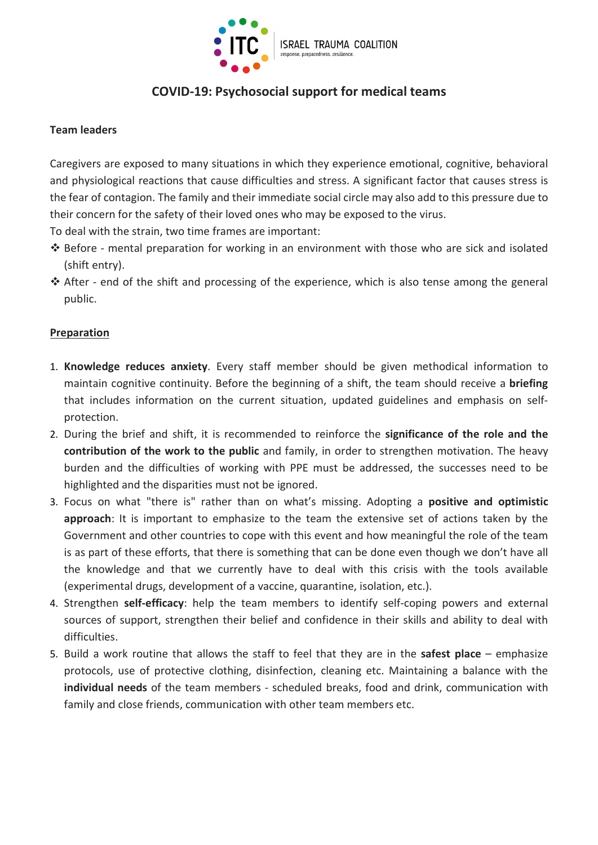

# COVID-19: Psychosocial support for medical teams

### Team leaders

Caregivers are exposed to many situations in which they experience emotional, cognitive, behavioral and physiological reactions that cause difficulties and stress. A significant factor that causes stress is the fear of contagion. The family and their immediate social circle may also add to this pressure due to their concern for the safety of their loved ones who may be exposed to the virus.

To deal with the strain, two time frames are important:

- Before mental preparation for working in an environment with those who are sick and isolated (shift entry).
- $\triangle$  After end of the shift and processing of the experience, which is also tense among the general public.

#### Preparation

- 1. Knowledge reduces anxiety. Every staff member should be given methodical information to maintain cognitive continuity. Before the beginning of a shift, the team should receive a **briefing** that includes information on the current situation, updated guidelines and emphasis on selfprotection.
- 2. During the brief and shift, it is recommended to reinforce the significance of the role and the contribution of the work to the public and family, in order to strengthen motivation. The heavy burden and the difficulties of working with PPE must be addressed, the successes need to be highlighted and the disparities must not be ignored.
- 3. Focus on what "there is" rather than on what's missing. Adopting a positive and optimistic approach: It is important to emphasize to the team the extensive set of actions taken by the Government and other countries to cope with this event and how meaningful the role of the team is as part of these efforts, that there is something that can be done even though we don't have all the knowledge and that we currently have to deal with this crisis with the tools available (experimental drugs, development of a vaccine, quarantine, isolation, etc.).
- 4. Strengthen self-efficacy: help the team members to identify self-coping powers and external sources of support, strengthen their belief and confidence in their skills and ability to deal with difficulties.
- 5. Build a work routine that allows the staff to feel that they are in the safest place emphasize protocols, use of protective clothing, disinfection, cleaning etc. Maintaining a balance with the individual needs of the team members - scheduled breaks, food and drink, communication with family and close friends, communication with other team members etc.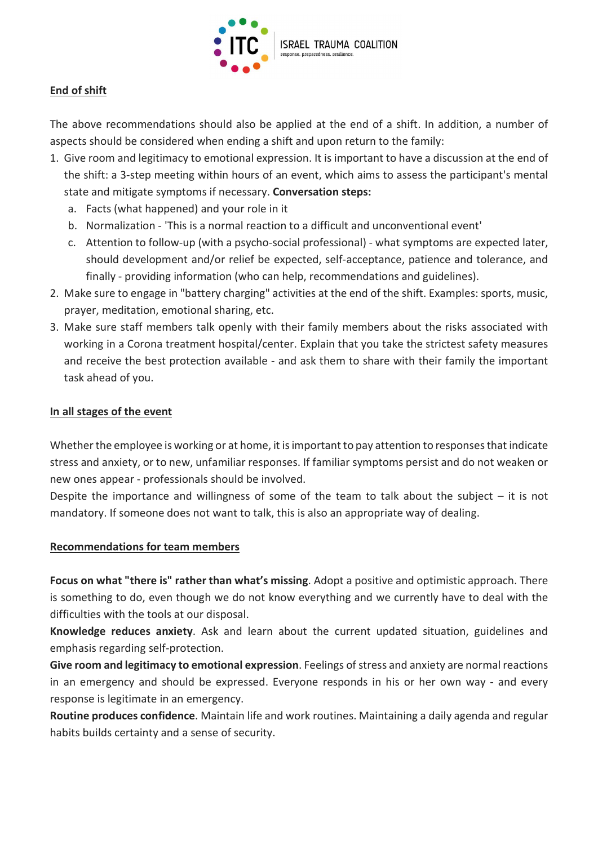

# End of shift

The above recommendations should also be applied at the end of a shift. In addition, a number of aspects should be considered when ending a shift and upon return to the family:

- 1. Give room and legitimacy to emotional expression. It is important to have a discussion at the end of the shift: a 3-step meeting within hours of an event, which aims to assess the participant's mental state and mitigate symptoms if necessary. Conversation steps:
	- a. Facts (what happened) and your role in it
	- b. Normalization 'This is a normal reaction to a difficult and unconventional event'
	- c. Attention to follow-up (with a psycho-social professional) what symptoms are expected later, should development and/or relief be expected, self-acceptance, patience and tolerance, and finally - providing information (who can help, recommendations and guidelines).
- 2. Make sure to engage in "battery charging" activities at the end of the shift. Examples: sports, music, prayer, meditation, emotional sharing, etc.
- 3. Make sure staff members talk openly with their family members about the risks associated with working in a Corona treatment hospital/center. Explain that you take the strictest safety measures and receive the best protection available - and ask them to share with their family the important task ahead of you.

# In all stages of the event

Whether the employee is working or at home, it is important to pay attention to responses that indicate stress and anxiety, or to new, unfamiliar responses. If familiar symptoms persist and do not weaken or new ones appear - professionals should be involved.

Despite the importance and willingness of some of the team to talk about the subject  $-$  it is not mandatory. If someone does not want to talk, this is also an appropriate way of dealing.

#### Recommendations for team members

Focus on what "there is" rather than what's missing. Adopt a positive and optimistic approach. There is something to do, even though we do not know everything and we currently have to deal with the difficulties with the tools at our disposal.

Knowledge reduces anxiety. Ask and learn about the current updated situation, guidelines and emphasis regarding self-protection.

Give room and legitimacy to emotional expression. Feelings of stress and anxiety are normal reactions in an emergency and should be expressed. Everyone responds in his or her own way - and every response is legitimate in an emergency.

Routine produces confidence. Maintain life and work routines. Maintaining a daily agenda and regular habits builds certainty and a sense of security.